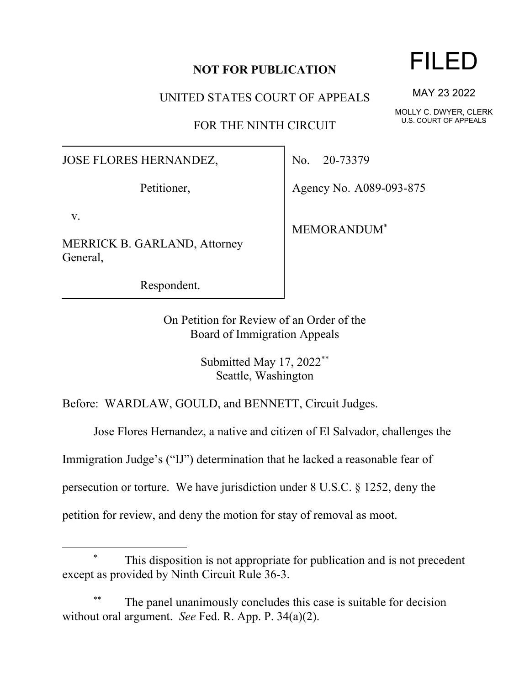## **NOT FOR PUBLICATION**

UNITED STATES COURT OF APPEALS

FOR THE NINTH CIRCUIT

JOSE FLORES HERNANDEZ,

Petitioner,

v.

MERRICK B. GARLAND, Attorney General,

Respondent.

No. 20-73379

Agency No. A089-093-875

MEMORANDUM\*

On Petition for Review of an Order of the Board of Immigration Appeals

> Submitted May 17, 2022\*\* Seattle, Washington

Before: WARDLAW, GOULD, and BENNETT, Circuit Judges.

Jose Flores Hernandez, a native and citizen of El Salvador, challenges the

Immigration Judge's ("IJ") determination that he lacked a reasonable fear of

persecution or torture. We have jurisdiction under 8 U.S.C. § 1252, deny the

petition for review, and deny the motion for stay of removal as moot.

## FILED

MAY 23 2022

MOLLY C. DWYER, CLERK U.S. COURT OF APPEALS

This disposition is not appropriate for publication and is not precedent except as provided by Ninth Circuit Rule 36-3.

The panel unanimously concludes this case is suitable for decision without oral argument. *See* Fed. R. App. P. 34(a)(2).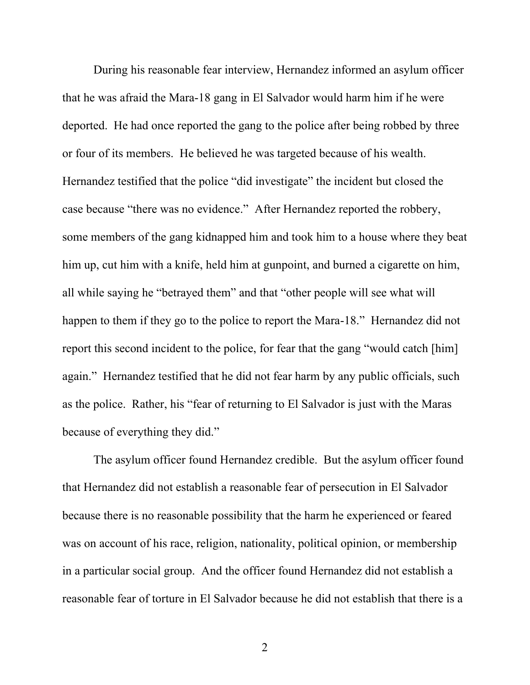During his reasonable fear interview, Hernandez informed an asylum officer that he was afraid the Mara-18 gang in El Salvador would harm him if he were deported. He had once reported the gang to the police after being robbed by three or four of its members. He believed he was targeted because of his wealth. Hernandez testified that the police "did investigate" the incident but closed the case because "there was no evidence." After Hernandez reported the robbery, some members of the gang kidnapped him and took him to a house where they beat him up, cut him with a knife, held him at gunpoint, and burned a cigarette on him, all while saying he "betrayed them" and that "other people will see what will happen to them if they go to the police to report the Mara-18." Hernandez did not report this second incident to the police, for fear that the gang "would catch [him] again." Hernandez testified that he did not fear harm by any public officials, such as the police. Rather, his "fear of returning to El Salvador is just with the Maras because of everything they did."

The asylum officer found Hernandez credible. But the asylum officer found that Hernandez did not establish a reasonable fear of persecution in El Salvador because there is no reasonable possibility that the harm he experienced or feared was on account of his race, religion, nationality, political opinion, or membership in a particular social group. And the officer found Hernandez did not establish a reasonable fear of torture in El Salvador because he did not establish that there is a

2 a set of  $\sim$  2 a set of  $\sim$  2 a set of  $\sim$  2 a set of  $\sim$  3 a set of  $\sim$  3 a set of  $\sim$  3 a set of  $\sim$  3 a set of  $\sim$  3 a set of  $\sim$  3 a set of  $\sim$  3 a set of  $\sim$  3 a set of  $\sim$  3 a set of  $\sim$  3 a set of  $\sim$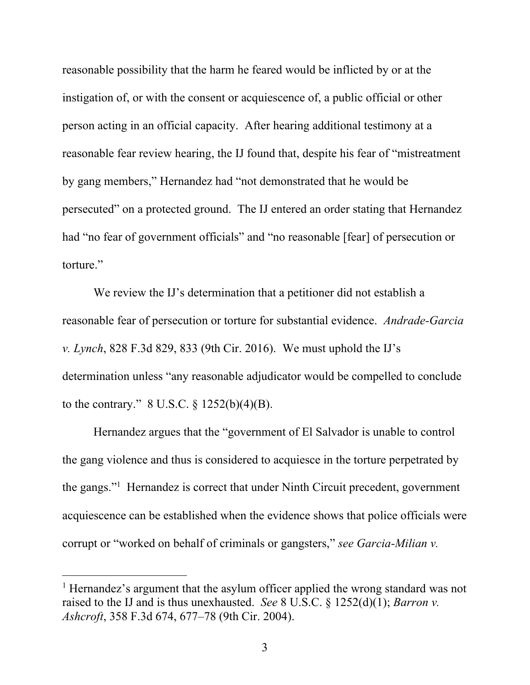reasonable possibility that the harm he feared would be inflicted by or at the instigation of, or with the consent or acquiescence of, a public official or other person acting in an official capacity. After hearing additional testimony at a reasonable fear review hearing, the IJ found that, despite his fear of "mistreatment by gang members," Hernandez had "not demonstrated that he would be persecuted" on a protected ground. The IJ entered an order stating that Hernandez had "no fear of government officials" and "no reasonable [fear] of persecution or torture."

We review the IJ's determination that a petitioner did not establish a reasonable fear of persecution or torture for substantial evidence. *Andrade-Garcia v. Lynch*, 828 F.3d 829, 833 (9th Cir. 2016). We must uphold the IJ's determination unless "any reasonable adjudicator would be compelled to conclude to the contrary."  $8 \text{ U.S.C.} \S 1252(b)(4)(B)$ .

Hernandez argues that the "government of El Salvador is unable to control the gang violence and thus is considered to acquiesce in the torture perpetrated by the gangs."<sup>1</sup> Hernandez is correct that under Ninth Circuit precedent, government acquiescence can be established when the evidence shows that police officials were corrupt or "worked on behalf of criminals or gangsters," *see Garcia-Milian v.* 

<sup>&</sup>lt;sup>1</sup> Hernandez's argument that the asylum officer applied the wrong standard was not raised to the IJ and is thus unexhausted. *See* 8 U.S.C. § 1252(d)(1); *Barron v. Ashcroft*, 358 F.3d 674, 677–78 (9th Cir. 2004).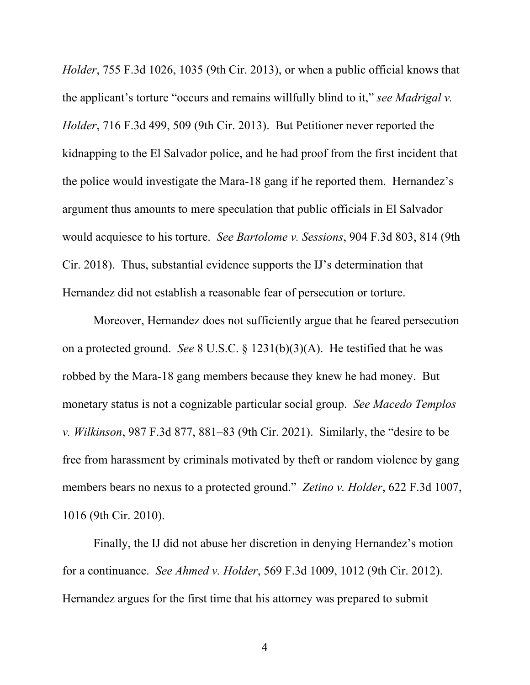*Holder*, 755 F.3d 1026, 1035 (9th Cir. 2013), or when a public official knows that the applicant's torture "occurs and remains willfully blind to it," *see Madrigal v. Holder*, 716 F.3d 499, 509 (9th Cir. 2013). But Petitioner never reported the kidnapping to the El Salvador police, and he had proof from the first incident that the police would investigate the Mara-18 gang if he reported them. Hernandez's argument thus amounts to mere speculation that public officials in El Salvador would acquiesce to his torture. *See Bartolome v. Sessions*, 904 F.3d 803, 814 (9th Cir. 2018). Thus, substantial evidence supports the IJ's determination that Hernandez did not establish a reasonable fear of persecution or torture.

Moreover, Hernandez does not sufficiently argue that he feared persecution on a protected ground. *See* 8 U.S.C. § 1231(b)(3)(A). He testified that he was robbed by the Mara-18 gang members because they knew he had money. But monetary status is not a cognizable particular social group. *See Macedo Templos v. Wilkinson*, 987 F.3d 877, 881–83 (9th Cir. 2021). Similarly, the "desire to be free from harassment by criminals motivated by theft or random violence by gang members bears no nexus to a protected ground." *Zetino v. Holder*, 622 F.3d 1007, 1016 (9th Cir. 2010).

Finally, the IJ did not abuse her discretion in denying Hernandez's motion for a continuance. *See Ahmed v. Holder*, 569 F.3d 1009, 1012 (9th Cir. 2012). Hernandez argues for the first time that his attorney was prepared to submit

4